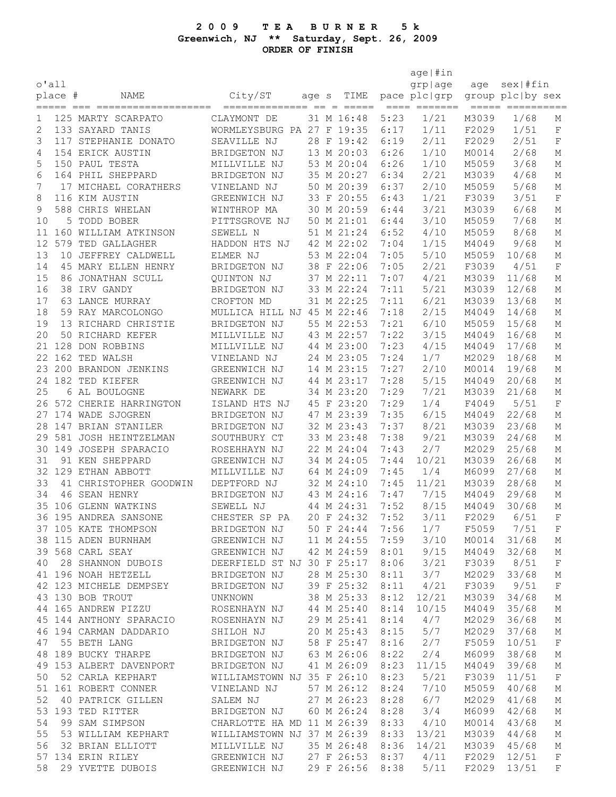## **2 0 0 9 T E A B U R N E R 5 k Greenwich, NJ \*\* Saturday, Sept. 26, 2009 ORDER OF FINISH**

|                 |         |                          |                            |       |                          |              | age   #in                                                                                                                                                                                                                                                                                                                                                                                                                                                                                                                                                  |       |                  |             |
|-----------------|---------|--------------------------|----------------------------|-------|--------------------------|--------------|------------------------------------------------------------------------------------------------------------------------------------------------------------------------------------------------------------------------------------------------------------------------------------------------------------------------------------------------------------------------------------------------------------------------------------------------------------------------------------------------------------------------------------------------------------|-------|------------------|-------------|
| $\circ$ 'all    |         |                          |                            |       |                          |              | grplage                                                                                                                                                                                                                                                                                                                                                                                                                                                                                                                                                    | age   | sex #fin         |             |
|                 | place # | NAME                     | City/ST                    | age s | TIME                     |              | pace plc   grp                                                                                                                                                                                                                                                                                                                                                                                                                                                                                                                                             |       | group plc by sex |             |
|                 |         |                          |                            |       |                          |              | $\begin{tabular}{ll} \multicolumn{2}{l}{{\color{red}\boldsymbol{=}}} & \multicolumn{2}{l}{\color{blue}\boldsymbol{=}} & \multicolumn{2}{l}{\color{blue}\boldsymbol{=}} & \multicolumn{2}{l}{\color{blue}\boldsymbol{=}} & \multicolumn{2}{l}{\color{blue}\boldsymbol{=}} & \multicolumn{2}{l}{\color{blue}\boldsymbol{=}} & \multicolumn{2}{l}{\color{blue}\boldsymbol{=}} & \multicolumn{2}{l}{\color{blue}\boldsymbol{=}} & \multicolumn{2}{l}{\color{blue}\boldsymbol{=}} & \multicolumn{2}{l}{\color{blue}\boldsymbol{=}} & \multicolumn{2}{l}{\color$ |       | ===== ========== |             |
| 1               |         | 125 MARTY SCARPATO       | CLAYMONT DE                |       | 31 M 16:48               | 5:23         | 1/21                                                                                                                                                                                                                                                                                                                                                                                                                                                                                                                                                       | M3039 | 1/68             | М           |
| $\mathbf{2}$    |         | 133 SAYARD TANIS         | WORMLEYSBURG PA 27 F 19:35 |       |                          | 6:17         | 1/11                                                                                                                                                                                                                                                                                                                                                                                                                                                                                                                                                       | F2029 | 1/51             | $\mathbf F$ |
| 3               |         | 117 STEPHANIE DONATO     | SEAVILLE NJ                |       | 28 F 19:42               | 6:19         | 2/11                                                                                                                                                                                                                                                                                                                                                                                                                                                                                                                                                       | F2029 | 2/51             | $\mathbf F$ |
| 4               |         | 154 ERICK AUSTIN         | BRIDGETON NJ               |       | 13 M 20:03               | 6:26         | 1/10                                                                                                                                                                                                                                                                                                                                                                                                                                                                                                                                                       | M0014 | 2/68             | М           |
| 5               |         | 150 PAUL TESTA           | MILLVILLE NJ               |       | 53 M 20:04               | 6:26         | 1/10                                                                                                                                                                                                                                                                                                                                                                                                                                                                                                                                                       | M5059 | 3/68             | М           |
| 6               |         | 164 PHIL SHEPPARD        | BRIDGETON NJ               |       | 35 M 20:27               | 6:34         | 2/21                                                                                                                                                                                                                                                                                                                                                                                                                                                                                                                                                       | M3039 | 4/68             | М           |
| 7               |         | 17 MICHAEL CORATHERS     | VINELAND NJ                |       | 50 M 20:39               | 6:37         | 2/10                                                                                                                                                                                                                                                                                                                                                                                                                                                                                                                                                       | M5059 | 5/68             | М           |
| 8               |         | 116 KIM AUSTIN           | GREENWICH NJ               |       | 33 F 20:55               | 6:43         | 1/21                                                                                                                                                                                                                                                                                                                                                                                                                                                                                                                                                       | F3039 | 3/51             | F           |
| 9               |         | 588 CHRIS WHELAN         | WINTHROP MA                |       | 30 M 20:59               | 6:44         | 3/21                                                                                                                                                                                                                                                                                                                                                                                                                                                                                                                                                       | M3039 | 6/68             | Μ           |
| 10              |         | 5 TODD BOBER             | PITTSGROVE NJ              |       | 50 M 21:01               | 6:44         | 3/10                                                                                                                                                                                                                                                                                                                                                                                                                                                                                                                                                       | M5059 | 7/68             | М           |
| 11              |         | 160 WILLIAM ATKINSON     | SEWELL N                   |       | 51 M 21:24               | 6:52         | 4/10                                                                                                                                                                                                                                                                                                                                                                                                                                                                                                                                                       | M5059 | 8/68             | М           |
| 12 <sup>°</sup> |         | 579 TED GALLAGHER        | HADDON HTS NJ              |       | 42 M 22:02               | 7:04         | 1/15                                                                                                                                                                                                                                                                                                                                                                                                                                                                                                                                                       | M4049 | 9/68             | М           |
| 13              |         | 10 JEFFREY CALDWELL      | ELMER NJ                   |       | 53 M 22:04               | 7:05         | $5/10$                                                                                                                                                                                                                                                                                                                                                                                                                                                                                                                                                     | M5059 | 10/68            | М           |
| 14              |         | 45 MARY ELLEN HENRY      | BRIDGETON NJ               |       | 38 F 22:06               | 7:05         | 2/21                                                                                                                                                                                                                                                                                                                                                                                                                                                                                                                                                       | F3039 | 4/51             | $\mathbf F$ |
| 15              |         | 86 JONATHAN SCULL        | QUINTON NJ                 |       | 37 M 22:11               | 7:07         | 4/21                                                                                                                                                                                                                                                                                                                                                                                                                                                                                                                                                       | M3039 | 11/68            | Μ           |
| 16              |         | 38 IRV GANDY             | BRIDGETON NJ               |       | 33 M 22:24               | 7:11         | $5/21$                                                                                                                                                                                                                                                                                                                                                                                                                                                                                                                                                     | M3039 | 12/68            | Μ           |
| 17              |         | 63 LANCE MURRAY          | CROFTON MD                 |       | 31 M 22:25               | 7:11         | $6/21$                                                                                                                                                                                                                                                                                                                                                                                                                                                                                                                                                     | M3039 | 13/68            | М           |
| 18              |         | 59 RAY MARCOLONGO        | MULLICA HILL NJ 45 M 22:46 |       |                          | 7:18         | 2/15                                                                                                                                                                                                                                                                                                                                                                                                                                                                                                                                                       | M4049 | 14/68            | М           |
| 19              |         | 13 RICHARD CHRISTIE      | BRIDGETON NJ               |       | 55 M 22:53               | 7:21         | 6/10                                                                                                                                                                                                                                                                                                                                                                                                                                                                                                                                                       | M5059 | 15/68            | М           |
| 20              |         | 50 RICHARD KEFER         | MILLVILLE NJ               |       | 43 M 22:57               | 7:22         | 3/15                                                                                                                                                                                                                                                                                                                                                                                                                                                                                                                                                       | M4049 | 16/68            | М           |
|                 |         | 21 128 DON ROBBINS       | MILLVILLE NJ               |       | 44 M 23:00               | 7:23         | 4/15                                                                                                                                                                                                                                                                                                                                                                                                                                                                                                                                                       | M4049 | 17/68            | М           |
|                 |         | 22 162 TED WALSH         | VINELAND NJ                |       | 24 M 23:05               | 7:24         | 1/7                                                                                                                                                                                                                                                                                                                                                                                                                                                                                                                                                        | M2029 | 18/68            | М           |
|                 |         | 23 200 BRANDON JENKINS   | GREENWICH NJ               |       | 14 M 23:15               | 7:27         | 2/10                                                                                                                                                                                                                                                                                                                                                                                                                                                                                                                                                       | M0014 | 19/68            | М           |
|                 |         | 24 182 TED KIEFER        | GREENWICH NJ               |       | 44 M 23:17               | 7:28         | 5/15                                                                                                                                                                                                                                                                                                                                                                                                                                                                                                                                                       | M4049 | 20/68            | М           |
| 25              |         | 6 AL BOULOGNE            | NEWARK DE                  |       | 34 M 23:20               | 7:29         | 7/21                                                                                                                                                                                                                                                                                                                                                                                                                                                                                                                                                       | M3039 | 21/68            | Μ           |
|                 |         | 26 572 CHERIE HARRINGTON | ISLAND HTS NJ              |       | 45 F 23:20               | 7:29         | 1/4                                                                                                                                                                                                                                                                                                                                                                                                                                                                                                                                                        | F4049 | 5/51             | $\rm F$     |
|                 |         | 27 174 WADE SJOGREN      | BRIDGETON NJ               |       | 47 M 23:39               | 7:35         | 6/15                                                                                                                                                                                                                                                                                                                                                                                                                                                                                                                                                       | M4049 | 22/68            | М           |
|                 |         | 28 147 BRIAN STANILER    | BRIDGETON NJ               |       | 32 M 23:43               | 7:37         | 8/21                                                                                                                                                                                                                                                                                                                                                                                                                                                                                                                                                       | M3039 | 23/68            | М           |
|                 |         | 29 581 JOSH HEINTZELMAN  | SOUTHBURY CT               |       | 33 M 23:48               | 7:38         | 9/21                                                                                                                                                                                                                                                                                                                                                                                                                                                                                                                                                       | M3039 | 24/68            | М           |
|                 |         | 30 149 JOSEPH SPARACIO   | ROSEHHAYN NJ               |       | 22 M 24:04               | 7:43         | 2/7                                                                                                                                                                                                                                                                                                                                                                                                                                                                                                                                                        | M2029 | 25/68            | М           |
| 31              |         | 91 KEN SHEPPARD          | GREENWICH NJ               |       | 34 M 24:05               | 7:44         | 10/21                                                                                                                                                                                                                                                                                                                                                                                                                                                                                                                                                      | M3039 | 26/68            | М           |
|                 |         | 32 129 ETHAN ABBOTT      | MILLVILLE NJ               |       | 64 M 24:09               | 7:45         | 1/4                                                                                                                                                                                                                                                                                                                                                                                                                                                                                                                                                        | M6099 | 27/68            | М           |
| 33              |         | 41 CHRISTOPHER GOODWIN   | DEPTFORD NJ                |       | 32 M 24:10               | 7:45         | 11/21                                                                                                                                                                                                                                                                                                                                                                                                                                                                                                                                                      | M3039 | 28/68            | М           |
| 34              |         | 46 SEAN HENRY            | BRIDGETON NJ               |       | 43 M 24:16               | 7:47         | 7/15                                                                                                                                                                                                                                                                                                                                                                                                                                                                                                                                                       | M4049 | 29/68            | М           |
|                 |         | 35 106 GLENN WATKINS     | SEWELL NJ                  |       | 44 M 24:31               | 7:52         | 8/15                                                                                                                                                                                                                                                                                                                                                                                                                                                                                                                                                       | M4049 | 30/68            | М           |
|                 |         | 36 195 ANDREA SANSONE    | CHESTER SP PA              |       | 20 F 24:32               | 7:52         | 3/11                                                                                                                                                                                                                                                                                                                                                                                                                                                                                                                                                       | F2029 | 6/51             | $\rm F$     |
|                 |         | 37 105 KATE THOMPSON     | BRIDGETON NJ               |       | 50 F 24:44               | 7:56         | 1/7                                                                                                                                                                                                                                                                                                                                                                                                                                                                                                                                                        | F5059 | 7/51             | F           |
|                 |         | 38 115 ADEN BURNHAM      | GREENWICH NJ               |       | 11 M 24:55               | 7:59         | 3/10                                                                                                                                                                                                                                                                                                                                                                                                                                                                                                                                                       | M0014 | 31/68            | М           |
|                 |         | 39 568 CARL SEAY         | GREENWICH NJ               |       | 42 M 24:59               | 8:01         | 9/15                                                                                                                                                                                                                                                                                                                                                                                                                                                                                                                                                       | M4049 | 32/68            | М           |
| 40              |         | 28 SHANNON DUBOIS        | DEERFIELD ST NJ 30 F 25:17 |       |                          | 8:06         | 3/21                                                                                                                                                                                                                                                                                                                                                                                                                                                                                                                                                       | F3039 | 8/51             | $\mathbf F$ |
|                 |         | 41 196 NOAH HETZELL      | BRIDGETON NJ               |       | 28 M 25:30               | 8:11         | 3/7                                                                                                                                                                                                                                                                                                                                                                                                                                                                                                                                                        | M2029 | 33/68            | М           |
|                 |         | 42 123 MICHELE DEMPSEY   | BRIDGETON NJ               |       | 39 F 25:32               | 8:11         | 4/21                                                                                                                                                                                                                                                                                                                                                                                                                                                                                                                                                       | F3039 | 9/51             | $\mathbf F$ |
|                 |         | 43 130 BOB TROUT         | UNKNOWN                    |       | 38 M 25:33               | 8:12         | 12/21                                                                                                                                                                                                                                                                                                                                                                                                                                                                                                                                                      | M3039 | 34/68            | М           |
|                 |         | 44 165 ANDREW PIZZU      | ROSENHAYN NJ               |       | 44 M 25:40               | 8:14         | 10/15                                                                                                                                                                                                                                                                                                                                                                                                                                                                                                                                                      | M4049 | 35/68            | М           |
|                 |         | 45 144 ANTHONY SPARACIO  | ROSENHAYN NJ               |       | 29 M 25:41               | 8:14         | 4/7                                                                                                                                                                                                                                                                                                                                                                                                                                                                                                                                                        | M2029 | 36/68            | М           |
|                 |         | 46 194 CARMAN DADDARIO   | SHILOH NJ                  |       | 20 M 25:43               | 8:15         | 5/7                                                                                                                                                                                                                                                                                                                                                                                                                                                                                                                                                        | M2029 | 37/68            | М           |
|                 |         | 55 BETH LANG             |                            |       |                          |              | 2/7                                                                                                                                                                                                                                                                                                                                                                                                                                                                                                                                                        |       |                  | $\mathbf F$ |
| 47              |         |                          | BRIDGETON NJ               |       | 58 F 25:47<br>63 M 26:06 | 8:16<br>8:22 | 2/4                                                                                                                                                                                                                                                                                                                                                                                                                                                                                                                                                        | F5059 | 10/51            |             |
|                 |         | 48 189 BUCKY THARPE      | BRIDGETON NJ               |       |                          |              |                                                                                                                                                                                                                                                                                                                                                                                                                                                                                                                                                            | M6099 | 38/68            | М           |
|                 |         | 49 153 ALBERT DAVENPORT  | BRIDGETON NJ               |       | 41 M 26:09               | 8:23         | 11/15                                                                                                                                                                                                                                                                                                                                                                                                                                                                                                                                                      | M4049 | 39/68            | М           |
| 50              |         | 52 CARLA KEPHART         | WILLIAMSTOWN NJ 35 F 26:10 |       |                          | 8:23         | $5/21$                                                                                                                                                                                                                                                                                                                                                                                                                                                                                                                                                     | F3039 | 11/51            | $\mathbf F$ |
|                 |         | 51 161 ROBERT CONNER     | VINELAND NJ                |       | 57 M 26:12               | 8:24         | 7/10                                                                                                                                                                                                                                                                                                                                                                                                                                                                                                                                                       | M5059 | 40/68            | М           |
| 52              |         | 40 PATRICK GILLEN        | SALEM NJ                   |       | 27 M 26:23               | 8:28         | 6/7                                                                                                                                                                                                                                                                                                                                                                                                                                                                                                                                                        | M2029 | 41/68            | М           |
|                 |         | 53 193 TED RITTER        | BRIDGETON NJ               |       | 60 M 26:24               | 8:28         | 3/4                                                                                                                                                                                                                                                                                                                                                                                                                                                                                                                                                        | M6099 | 42/68            | М           |
| 54              |         | 99 SAM SIMPSON           | CHARLOTTE HA MD 11 M 26:39 |       |                          | 8:33         | 4/10                                                                                                                                                                                                                                                                                                                                                                                                                                                                                                                                                       | M0014 | 43/68            | М           |
| 55              |         | 53 WILLIAM KEPHART       | WILLIAMSTOWN NJ 37 M 26:39 |       |                          | 8:33         | 13/21                                                                                                                                                                                                                                                                                                                                                                                                                                                                                                                                                      | M3039 | 44/68            | М           |
| 56              |         | 32 BRIAN ELLIOTT         | MILLVILLE NJ               |       | 35 M 26:48               | 8:36         | 14/21                                                                                                                                                                                                                                                                                                                                                                                                                                                                                                                                                      | M3039 | 45/68            | М           |
|                 |         | 57 134 ERIN RILEY        | GREENWICH NJ               |       | 27 F 26:53               | 8:37         | 4/11                                                                                                                                                                                                                                                                                                                                                                                                                                                                                                                                                       | F2029 | 12/51            | $\mathbf F$ |
| 58              |         | 29 YVETTE DUBOIS         | GREENWICH NJ               |       | 29 F 26:56               | 8:38         | 5/11                                                                                                                                                                                                                                                                                                                                                                                                                                                                                                                                                       | F2029 | 13/51            | $\mathbf F$ |